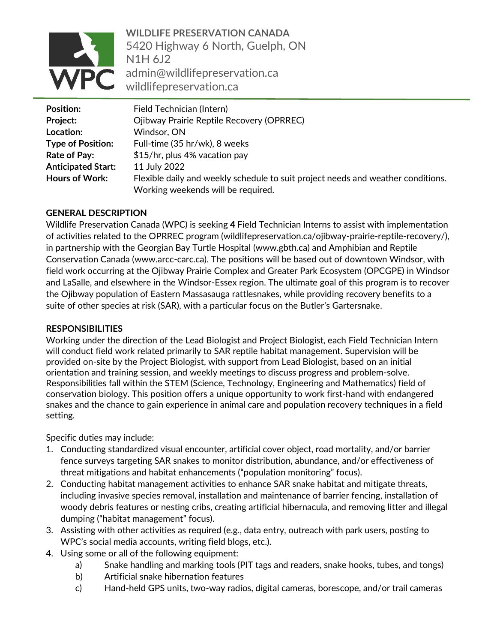

**WILDLIFE PRESERVATION CANADA** 5420 Highway 6 North, Guelph, ON N1H 6J2 admin@wildlifepreservation.ca wildlifepreservation.ca

| <b>Position:</b>          | Field Technician (Intern)                                                        |
|---------------------------|----------------------------------------------------------------------------------|
| Project:                  | Ojibway Prairie Reptile Recovery (OPRREC)                                        |
| Location:                 | Windsor, ON                                                                      |
| <b>Type of Position:</b>  | Full-time (35 hr/wk), 8 weeks                                                    |
| Rate of Pay:              | \$15/hr, plus 4% vacation pay                                                    |
| <b>Anticipated Start:</b> | 11 July 2022                                                                     |
| <b>Hours of Work:</b>     | Flexible daily and weekly schedule to suit project needs and weather conditions. |
|                           | Working weekends will be required.                                               |

### **GENERAL DESCRIPTION**

Wildlife Preservation Canada (WPC) is seeking **4** Field Technician Interns to assist with implementation of activities related to the OPRREC program (wildlifepreservation.ca/ojibway-prairie-reptile-recovery/), in partnership with the Georgian Bay Turtle Hospital (www.gbth.ca) and Amphibian and Reptile Conservation Canada (www.arcc-carc.ca). The positions will be based out of downtown Windsor, with field work occurring at the Ojibway Prairie Complex and Greater Park Ecosystem (OPCGPE) in Windsor and LaSalle, and elsewhere in the Windsor-Essex region. The ultimate goal of this program is to recover the Ojibway population of Eastern Massasauga rattlesnakes, while providing recovery benefits to a suite of other species at risk (SAR), with a particular focus on the Butler's Gartersnake.

### **RESPONSIBILITIES**

Working under the direction of the Lead Biologist and Project Biologist, each Field Technician Intern will conduct field work related primarily to SAR reptile habitat management. Supervision will be provided on-site by the Project Biologist, with support from Lead Biologist, based on an initial orientation and training session, and weekly meetings to discuss progress and problem-solve. Responsibilities fall within the STEM (Science, Technology, Engineering and Mathematics) field of conservation biology. This position offers a unique opportunity to work first-hand with endangered snakes and the chance to gain experience in animal care and population recovery techniques in a field setting.

Specific duties may include:

- 1. Conducting standardized visual encounter, artificial cover object, road mortality, and/or barrier fence surveys targeting SAR snakes to monitor distribution, abundance, and/or effectiveness of threat mitigations and habitat enhancements ("population monitoring" focus).
- 2. Conducting habitat management activities to enhance SAR snake habitat and mitigate threats, including invasive species removal, installation and maintenance of barrier fencing, installation of woody debris features or nesting cribs, creating artificial hibernacula, and removing litter and illegal dumping ("habitat management" focus).
- 3. Assisting with other activities as required (e.g., data entry, outreach with park users, posting to WPC's social media accounts, writing field blogs, etc.).
- 4. Using some or all of the following equipment:
	- a) Snake handling and marking tools (PIT tags and readers, snake hooks, tubes, and tongs)
	- b) Artificial snake hibernation features
	- c) Hand-held GPS units, two-way radios, digital cameras, borescope, and/or trail cameras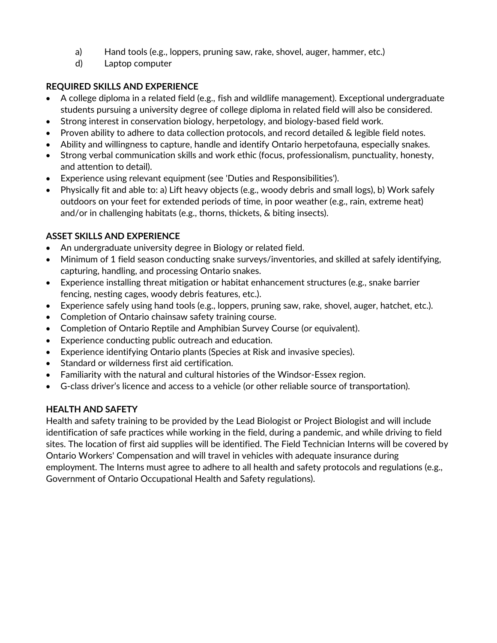- a) Hand tools (e.g., loppers, pruning saw, rake, shovel, auger, hammer, etc.)
- d) Laptop computer

## **REQUIRED SKILLS AND EXPERIENCE**

- A college diploma in a related field (e.g., fish and wildlife management). Exceptional undergraduate students pursuing a university degree of college diploma in related field will also be considered.
- Strong interest in conservation biology, herpetology, and biology-based field work.
- Proven ability to adhere to data collection protocols, and record detailed & legible field notes.
- Ability and willingness to capture, handle and identify Ontario herpetofauna, especially snakes.
- Strong verbal communication skills and work ethic (focus, professionalism, punctuality, honesty, and attention to detail).
- Experience using relevant equipment (see 'Duties and Responsibilities').
- Physically fit and able to: a) Lift heavy objects (e.g., woody debris and small logs), b) Work safely outdoors on your feet for extended periods of time, in poor weather (e.g., rain, extreme heat) and/or in challenging habitats (e.g., thorns, thickets, & biting insects).

## **ASSET SKILLS AND EXPERIENCE**

- An undergraduate university degree in Biology or related field.
- Minimum of 1 field season conducting snake surveys/inventories, and skilled at safely identifying, capturing, handling, and processing Ontario snakes.
- Experience installing threat mitigation or habitat enhancement structures (e.g., snake barrier fencing, nesting cages, woody debris features, etc.).
- Experience safely using hand tools (e.g., loppers, pruning saw, rake, shovel, auger, hatchet, etc.).
- Completion of Ontario chainsaw safety training course.
- Completion of Ontario Reptile and Amphibian Survey Course (or equivalent).
- Experience conducting public outreach and education.
- Experience identifying Ontario plants (Species at Risk and invasive species).
- Standard or wilderness first aid certification.
- Familiarity with the natural and cultural histories of the Windsor-Essex region.
- G-class driver's licence and access to a vehicle (or other reliable source of transportation).

## **HEALTH AND SAFETY**

Health and safety training to be provided by the Lead Biologist or Project Biologist and will include identification of safe practices while working in the field, during a pandemic, and while driving to field sites. The location of first aid supplies will be identified. The Field Technician Interns will be covered by Ontario Workers' Compensation and will travel in vehicles with adequate insurance during employment. The Interns must agree to adhere to all health and safety protocols and regulations (e.g., Government of Ontario Occupational Health and Safety regulations).